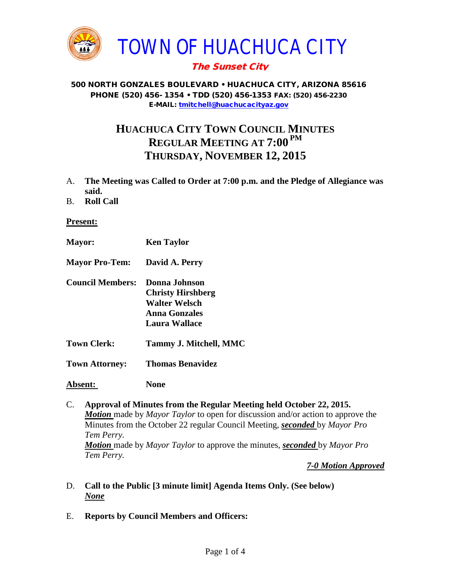

# The Sunset City

#### 500 NORTH GONZALES BOULEVARD • HUACHUCA CITY, ARIZONA 85616 PHONE (520) 456- 1354 • TDD (520) 456-1353 FAX: (520) 456-2230 E-MAIL: [tmitchell@huachucacityaz.gov](mailto:tmitchell@huachucacityaz.gov)

# **HUACHUCA CITY TOWN COUNCIL MINUTES REGULAR MEETING AT 7:00 PM THURSDAY, NOVEMBER 12, 2015**

- A. **The Meeting was Called to Order at 7:00 p.m. and the Pledge of Allegiance was said.**
- B. **Roll Call**

### **Present:**

- **Mayor: Ken Taylor Mayor Pro-Tem: David A. Perry Council Members: Donna Johnson Christy Hirshberg Walter Welsch Anna Gonzales Laura Wallace Town Clerk: Tammy J. Mitchell, MMC Town Attorney: Thomas Benavidez Absent: None**
- C. **Approval of Minutes from the Regular Meeting held October 22, 2015.** *Motion* made by *Mayor Taylor* to open for discussion and/or action to approve the Minutes from the October 22 regular Council Meeting, *seconded* by *Mayor Pro Tem Perry. Motion* made by *Mayor Taylor* to approve the minutes, *seconded* by *Mayor Pro Tem Perry.*

*7-0 Motion Approved*

- D. **Call to the Public [3 minute limit] Agenda Items Only. (See below)** *None*
- E. **Reports by Council Members and Officers:**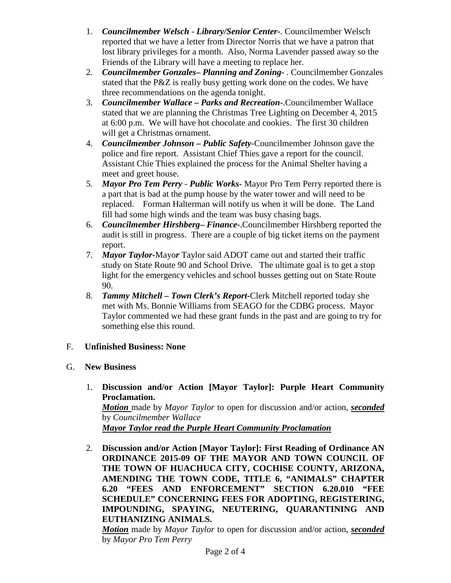- 1. *Councilmember Welsch - Library/Senior Center***-**. Councilmember Welsch reported that we have a letter from Director Norris that we have a patron that lost library privileges for a month. Also, Norma Lavender passed away so the Friends of the Library will have a meeting to replace her.
- 2. *Councilmember Gonzales***–** *Planning and Zoning-* . Councilmember Gonzales stated that the P&Z is really busy getting work done on the codes. We have three recommendations on the agenda tonight.
- 3. *Councilmember Wallace* **–** *Parks and Recreation***-**.Councilmember Wallace stated that we are planning the Christmas Tree Lighting on December 4, 2015 at 6:00 p.m. We will have hot chocolate and cookies. The first 30 children will get a Christmas ornament.
- 4. *Councilmember Johnson – Public Safety-*Councilmember Johnson gave the police and fire report. Assistant Chief Thies gave a report for the council. Assistant Chie Thies explained the process for the Animal Shelter having a meet and greet house.
- 5. *Mayor Pro Tem Perry Public Works-* Mayor Pro Tem Perry reported there is a part that is bad at the pump house by the water tower and will need to be replaced. Forman Halterman will notify us when it will be done. The Land fill had some high winds and the team was busy chasing bags.
- 6. *Councilmember Hirshberg***–** *Finance-*.Councilmember Hirshberg reported the audit is still in progress. There are a couple of big ticket items on the payment report.
- 7. *Mayor Taylor-*Mayo*r* Taylor said ADOT came out and started their traffic study on State Route 90 and School Drive. The ultimate goal is to get a stop light for the emergency vehicles and school busses getting out on State Route 90.
- 8. *Tammy Mitchell – Town Clerk's Report-*Clerk Mitchell reported today she met with Ms. Bonnie Williams from SEAGO for the CDBG process. Mayor Taylor commented we had these grant funds in the past and are going to try for something else this round.

# F. **Unfinished Business: None**

## G. **New Business**

- 1. **Discussion and/or Action [Mayor Taylor]: Purple Heart Community Proclamation.** *Motion* made by *Mayor Taylor* to open for discussion and/or action, *seconded*  by *Councilmember Wallace Mayor Taylor read the Purple Heart Community Proclamation*
- 2. **Discussion and/or Action [Mayor Taylor]: First Reading of Ordinance AN ORDINANCE 2015-09 OF THE MAYOR AND TOWN COUNCIL OF THE TOWN OF HUACHUCA CITY, COCHISE COUNTY, ARIZONA, AMENDING THE TOWN CODE, TITLE 6, "ANIMALS" CHAPTER 6.20 "FEES AND ENFORCEMENT" SECTION 6.20.010 "FEE SCHEDULE" CONCERNING FEES FOR ADOPTING, REGISTERING, IMPOUNDING, SPAYING, NEUTERING, QUARANTINING AND EUTHANIZING ANIMALS.**

*Motion* made by *Mayor Taylor* to open for discussion and/or action, *seconded* by *Mayor Pro Tem Perry*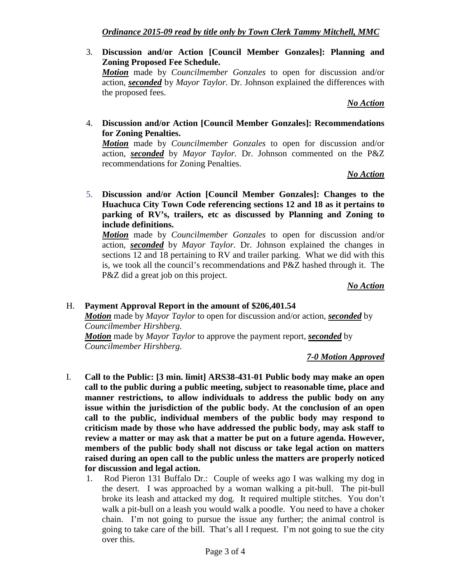3. **Discussion and/or Action [Council Member Gonzales]: Planning and Zoning Proposed Fee Schedule.**  *Motion* made by *Councilmember Gonzales* to open for discussion and/or action, *seconded* by *Mayor Taylor.* Dr. Johnson explained the differences with the proposed fees.

#### *No Action*

4. **Discussion and/or Action [Council Member Gonzales]: Recommendations for Zoning Penalties.** 

*Motion* made by *Councilmember Gonzales* to open for discussion and/or action, *seconded* by *Mayor Taylor.* Dr. Johnson commented on the P&Z recommendations for Zoning Penalties.

### *No Action*

5. **Discussion and/or Action [Council Member Gonzales]: Changes to the Huachuca City Town Code referencing sections 12 and 18 as it pertains to parking of RV's, trailers, etc as discussed by Planning and Zoning to include definitions.** 

*Motion* made by *Councilmember Gonzales* to open for discussion and/or action, *seconded* by *Mayor Taylor.* Dr. Johnson explained the changes in sections 12 and 18 pertaining to RV and trailer parking. What we did with this is, we took all the council's recommendations and P&Z hashed through it. The P&Z did a great job on this project.

#### *No Action*

#### H. **Payment Approval Report in the amount of \$206,401.54**

*Motion* made by *Mayor Taylor* to open for discussion and/or action, *seconded* by *Councilmember Hirshberg.*

*Motion* made by *Mayor Taylor* to approve the payment report, *seconded* by *Councilmember Hirshberg.*

#### *7-0 Motion Approved*

- I. **Call to the Public: [3 min. limit] ARS38-431-01 Public body may make an open call to the public during a public meeting, subject to reasonable time, place and manner restrictions, to allow individuals to address the public body on any issue within the jurisdiction of the public body. At the conclusion of an open call to the public, individual members of the public body may respond to criticism made by those who have addressed the public body, may ask staff to review a matter or may ask that a matter be put on a future agenda. However, members of the public body shall not discuss or take legal action on matters raised during an open call to the public unless the matters are properly noticed for discussion and legal action.**
	- 1. Rod Pieron 131 Buffalo Dr.: Couple of weeks ago I was walking my dog in the desert. I was approached by a woman walking a pit-bull. The pit-bull broke its leash and attacked my dog. It required multiple stitches. You don't walk a pit-bull on a leash you would walk a poodle. You need to have a choker chain. I'm not going to pursue the issue any further; the animal control is going to take care of the bill. That's all I request. I'm not going to sue the city over this.